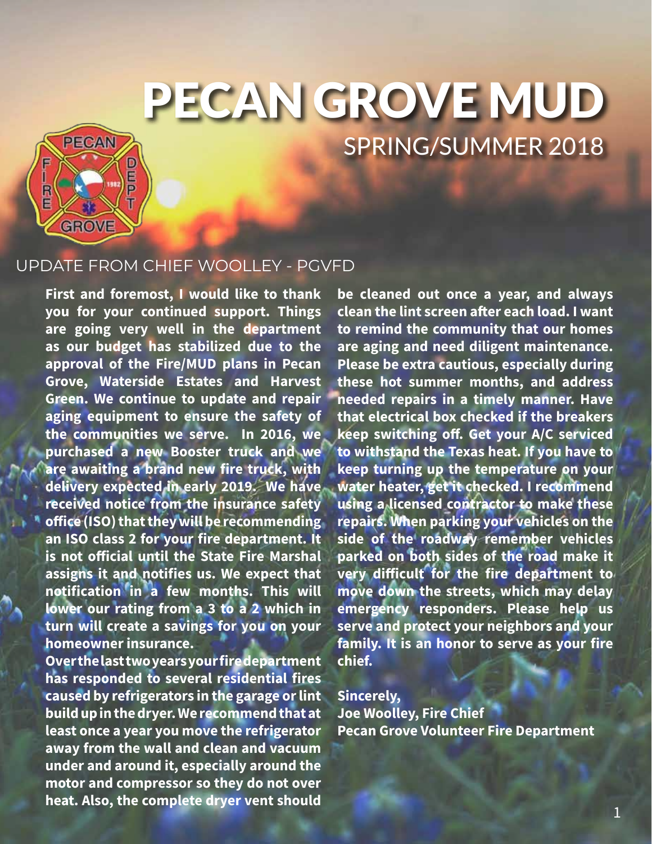# PECAN GROVE MUD SPRING/SUMMER 2018



## UPDATE FROM CHIEF WOOLLEY - PGVFD

**First and foremost, I would like to thank you for your continued support. Things are going very well in the department as our budget has stabilized due to the approval of the Fire/MUD plans in Pecan Grove, Waterside Estates and Harvest Green. We continue to update and repair aging equipment to ensure the safety of the communities we serve. In 2016, we purchased a new Booster truck and we are awaiting a brand new fire truck, with delivery expected in early 2019. We have received notice from the insurance safety office (ISO) that they will be recommending an ISO class 2 for your fire department. It is not official until the State Fire Marshal assigns it and notifies us. We expect that notification in a few months. This will lower our rating from a 3 to a 2 which in turn will create a savings for you on your homeowner insurance.** 

**Over the last two years your fire department has responded to several residential fires caused by refrigerators in the garage or lint build up in the dryer. We recommend that at least once a year you move the refrigerator away from the wall and clean and vacuum under and around it, especially around the motor and compressor so they do not over heat. Also, the complete dryer vent should** 

**be cleaned out once a year, and always clean the lint screen after each load. I want to remind the community that our homes are aging and need diligent maintenance. Please be extra cautious, especially during these hot summer months, and address needed repairs in a timely manner. Have that electrical box checked if the breakers keep switching off. Get your A/C serviced to withstand the Texas heat. If you have to keep turning up the temperature on your water heater, get it checked. I recommend using a licensed contractor to make these repairs. When parking your vehicles on the side of the roadway remember vehicles parked on both sides of the road make it very difficult for the fire department to move down the streets, which may delay emergency responders. Please help us serve and protect your neighbors and your family. It is an honor to serve as your fire chief.** 

**Sincerely, Joe Woolley, Fire Chief Pecan Grove Volunteer Fire Department**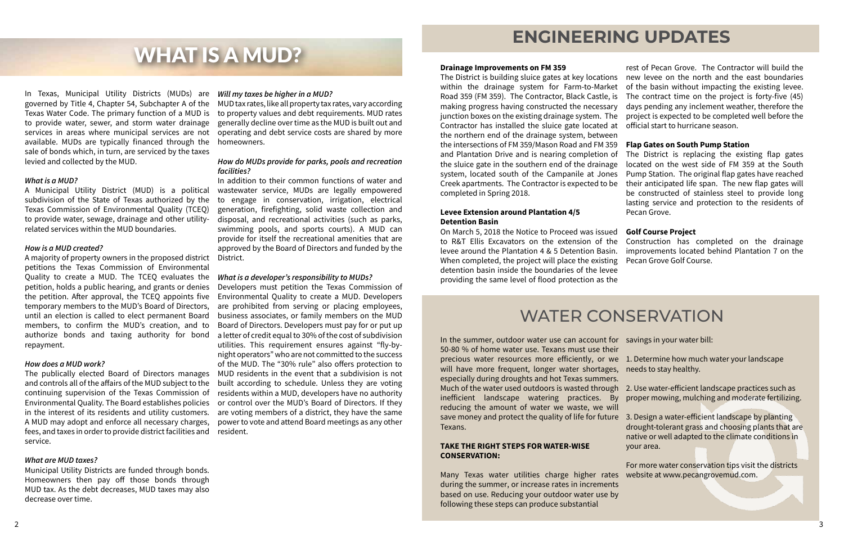In Texas, Municipal Utility Districts (MUDs) are *Will my taxes be higher in a MUD?* governed by Title 4, Chapter 54, Subchapter A of the MUD tax rates, like all property tax rates, vary according Texas Water Code. The primary function of a MUD is to property values and debt requirements. MUD rates to provide water, sewer, and storm water drainage generally decline over time as the MUD is built out and services in areas where municipal services are not operating and debt service costs are shared by more available. MUDs are typically financed through the homeowners. sale of bonds which, in turn, are serviced by the taxes levied and collected by the MUD.

A Municipal Utility District (MUD) is a political wastewater service, MUDs are legally empowered subdivision of the State of Texas authorized by the Texas Commission of Environmental Quality (TCEQ) to provide water, sewage, drainage and other utilityrelated services within the MUD boundaries.

#### *What is a MUD?*

#### *How is a MUD created?*

A majority of property owners in the proposed district District. petitions the Texas Commission of Environmental Quality to create a MUD. The TCEQ evaluates the *What is a developer's responsibility to MUDs?* petition, holds a public hearing, and grants or denies the petition. After approval, the TCEQ appoints five temporary members to the MUD's Board of Directors, are prohibited from serving or placing employees, until an election is called to elect permanent Board members, to confirm the MUD's creation, and to authorize bonds and taxing authority for bond a letter of credit equal to 30% of the cost of subdivision repayment.

#### *How does a MUD work?*

A MUD may adopt and enforce all necessary charges, fees, and taxes in order to provide district facilities and service.

### *What are MUD taxes?*

Municipal Utility Districts are funded through bonds. Homeowners then pay off those bonds through MUD tax. As the debt decreases, MUD taxes may also decrease over time.

### *How do MUDs provide for parks, pools and recreation facilities?*

The publically elected Board of Directors manages MUD residents in the event that a subdivision is not and controls all of the affairs of the MUD subject to the built according to schedule. Unless they are voting continuing supervision of the Texas Commission of residents within a MUD, developers have no authority Environmental Quality. The Board establishes policies or control over the MUD's Board of Directors. If they in the interest of its residents and utility customers. are voting members of a district, they have the same Developers must petition the Texas Commission of Environmental Quality to create a MUD. Developers business associates, or family members on the MUD Board of Directors. Developers must pay for or put up utilities. This requirement ensures against "fly-bynight operators" who are not committed to the success of the MUD. The "30% rule" also offers protection to power to vote and attend Board meetings as any other resident.

In addition to their common functions of water and to engage in conservation, irrigation, electrical generation, firefighting, solid waste collection and disposal, and recreational activities (such as parks, swimming pools, and sports courts). A MUD can provide for itself the recreational amenities that are approved by the Board of Directors and funded by the

# WHAT IS A MUD?

# WATER CONSERVATION

In the summer, outdoor water use can account for savings in your water bill: 50-80 % of home water use. Texans must use their precious water resources more efficiently, or we 1. Determine how much water your landscape will have more frequent, longer water shortages, needs to stay healthy. especially during droughts and hot Texas summers. Much of the water used outdoors is wasted through 2. Use water-efficient landscape practices such as inefficient landscape watering practices. By reducing the amount of water we waste, we will save money and protect the quality of life for future 3. Design a water-efficient landscape by planting Texans.

### **TAKE THE RIGHT STEPS FOR WATER-WISE CONSERVATION:**

Many Texas water utilities charge higher rates during the summer, or increase rates in increments based on use. Reducing your outdoor water use by following these steps can produce substantial

- 
- proper mowing, mulching and moderate fertilizing.
- drought-tolerant grass and choosing plants that are native or well adapted to the climate conditions in your area.
- For more water conservation tips visit the districts website at www.pecangrovemud.com.

# **ENGINEERING UPDATES**

## **Levee Extension around Plantation 4/5 Detention Basin**

**Drainage Improvements on FM 359** The District is building sluice gates at key locations new levee on the north and the east boundaries within the drainage system for Farm-to-Market of the basin without impacting the existing levee. Road 359 (FM 359). The Contractor, Black Castle, is making progress having constructed the necessary days pending any inclement weather, therefore the junction boxes on the existing drainage system. The project is expected to be completed well before the Contractor has installed the sluice gate located at official start to hurricane season. the northern end of the drainage system, between the intersections of FM 359/Mason Road and FM 359 and Plantation Drive and is nearing completion of the sluice gate in the southern end of the drainage system, located south of the Campanile at Jones Creek apartments. The Contractor is expected to be completed in Spring 2018. rest of Pecan Grove. The Contractor will build the The contract time on the project is forty-five (45) **Flap Gates on South Pump Station** The District is replacing the existing flap gates located on the west side of FM 359 at the South Pump Station. The original flap gates have reached their anticipated life span. The new flap gates will be constructed of stainless steel to provide long lasting service and protection to the residents of Pecan Grove.

On March 5, 2018 the Notice to Proceed was issued **Golf Course Project** to R&T Ellis Excavators on the extension of the Construction has completed on the drainage levee around the Plantation 4 & 5 Detention Basin. improvements located behind Plantation 7 on the When completed, the project will place the existing detention basin inside the boundaries of the levee providing the same level of flood protection as the Pecan Grove Golf Course.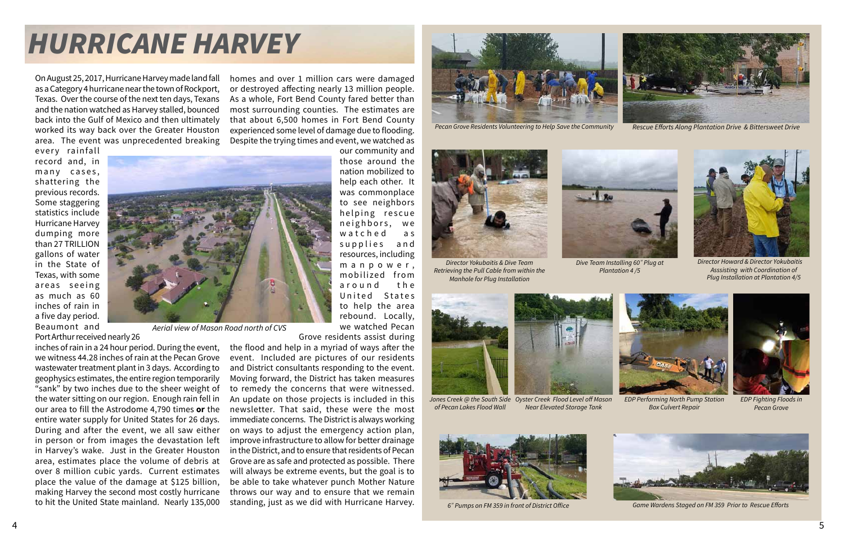On August 25, 2017, Hurricane Harvey made land fall as a Category 4 hurricane near the town of Rockport, Texas. Over the course of the next ten days, Texans and the nation watched as Harvey stalled, bounced back into the Gulf of Mexico and then ultimately worked its way back over the Greater Houston area. The event was unprecedented breaking

every rainfall record and, in many cases, shattering the previous records. Some staggering statistics include Hurricane Harvey dumping more than 27 TRILLION gallons of water in the State of Texas, with some areas seeing as much as 60 inches of rain in a five day period. Beaumont and Port Arthur received nearly 26

inches of rain in a 24 hour period. During the event, we witness 44.28 inches of rain at the Pecan Grove wastewater treatment plant in 3 days. According to geophysics estimates, the entire region temporarily "sank" by two inches due to the sheer weight of the water sitting on our region. Enough rain fell in our area to fill the Astrodome 4,790 times **or** the entire water supply for United States for 26 days. During and after the event, we all saw either in person or from images the devastation left in Harvey's wake. Just in the Greater Houston area, estimates place the volume of debris at over 8 million cubic yards. Current estimates place the value of the damage at \$125 billion, making Harvey the second most costly hurricane to hit the United State mainland. Nearly 135,000

homes and over 1 million cars were damaged or destroyed affecting nearly 13 million people. As a whole, Fort Bend County fared better than most surrounding counties. The estimates are that about 6,500 homes in Fort Bend County experienced some level of damage due to flooding. Despite the trying times and event, we watched as



rebound. Locally, we watched Pecan

Grove residents assist during the flood and help in a myriad of ways after the event. Included are pictures of our residents and District consultants responding to the event. Moving forward, the District has taken measures to remedy the concerns that were witnessed. An update on those projects is included in this newsletter. That said, these were the most immediate concerns. The District is always working on ways to adjust the emergency action plan, improve infrastructure to allow for better drainage in the District, and to ensure that residents of Pecan Grove are as safe and protected as possible. There will always be extreme events, but the goal is to be able to take whatever punch Mother Nature throws our way and to ensure that we remain standing, just as we did with Hurricane Harvey.

# *HURRICANE HARVEY*



*Aerial view of Mason Road north of CVS*



*Director Howard & Director Yokubaitis Asssisting with Coordination of Plug Installation at Plantation 4/5*



*Director Yokubaitis & Dive Team Retrieving the Pull Cable from within the Manhole for Plug Installation*

*Near Elevated Storage Tank*



*6" Pumps on FM 359 in front of District Office*





*EDP Fighting Floods in Pecan Grove*



*EDP Performing North Pump Station Box Culvert Repair* 

*Dive Team Installing 60" Plug at Plantation 4 /5*



*Jones Creek @ the South Side Oyster Creek Flood Level off Mason of Pecan Lakes Flood Wall* 



*Game Wardens Staged on FM 359 Prior to Rescue Efforts*



*Pecan Grove Residents Volunteering to Help Save the Community Rescue Efforts Along Plantation Drive & Bittersweet Drive*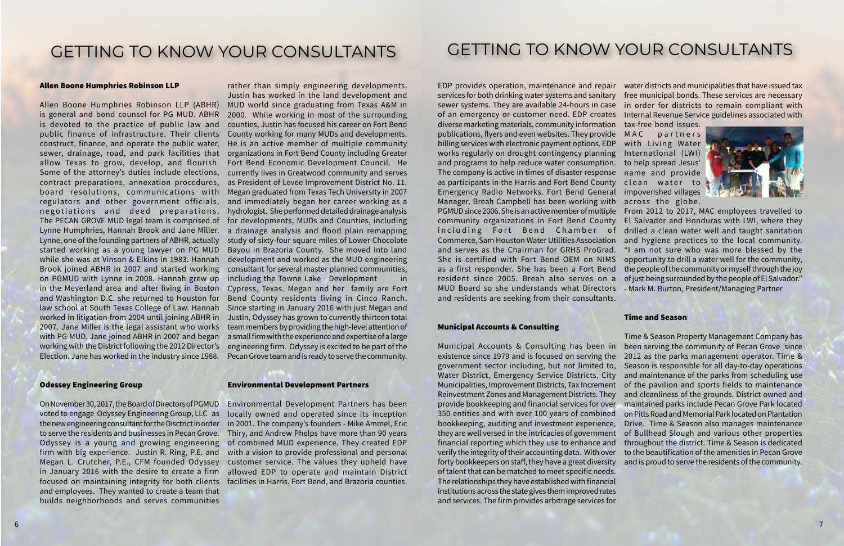

#### Allen Boone Humphries Robinson LLP

Lynne, one of the founding partners of ABHR, actually while she was at Vinson & Elkins in 1983. Hannah on PGMUD with Lynne in 2008. Hannah grew up with PG MUD. Jane joined ABHR in 2007 and began Election. Jane has worked in the industry since 1988.

#### Odessey Engineering Group

On November 30, 2017, the Board of Directors of PGMUD voted to engage Odyssey Engineering Group, LLC as focused on maintaining integrity for both clients facilities in Harris, Fort Bend, and Brazoria counties. and employees. They wanted to create a team that builds neighborhoods and serves communities

Allen Boone Humphries Robinson LLP (ABHR) MUD world since graduating from Texas A&M in is general and bond counsel for PG MUD. ABHR 2000. While working in most of the surrounding is devoted to the practice of public law and counties, Justin has focused his career on Fort Bend public finance of infrastructure. Their clients County working for many MUDs and developments. construct, finance, and operate the public water, He is an active member of multiple community sewer, drainage, road, and park facilities that organizations in Fort Bend County including Greater allow Texas to grow, develop, and flourish. Fort Bend Economic Development Council. He Some of the attorney's duties include elections, currently lives in Greatwood community and serves contract preparations, annexation procedures, as President of Levee Improvement District No. 11. board resolutions, communications with Megan graduated from Texas Tech University in 2007 regulators and other government officials, and immediately began her career working as a negotiations and deed preparations. hydrologist. Sheperformed detailed drainage analysis The PECAN GROVE MUD legal team is comprised of for developments, MUDs and Counties, including Lynne Humphries, Hannah Brook and Jane Miller. a drainage analysis and flood plain remapping started working as a young lawyer on PG MUD Bayou in Brazoria County. She moved into land Brook joined ABHR in 2007 and started working consultant for several master planned communities, in the Meyerland area and after living in Boston Cypress, Texas. Megan and her family are Fort and Washington D.C. she returned to Houston for Bend County residents living in Cinco Ranch. law school at South Texas College of Law. Hannah Since starting in January 2016 with just Megan and worked in litigation from 2004 until joining ABHR in Justin, Odyssey has grown to currently thirteen total 2007. Jane Miller is the legal assistant who works team members by providing the high-level attention of working with the District following the 2012 Director's engineering firm. Odyssey is excited to be part of the rather than simply engineering developments. Justin has worked in the land development and study of sixty-four square miles of Lower Chocolate development and worked as the MUD engineering including the Towne Lake Development in a small firm with the experience and expertise of a large Pecan Grove team and is ready to serve the community.

EDP provides operation, maintenance and repair water districts and municipalities that have issued tax services for both drinking water systems and sanitary  $\;\;\;$  free municipal bonds. These services are necessary sewer systems. They are available 24-hours in case in order for districts to remain compliant with of an emergency or customer need. EDP creates Internal Revenue Service guidelines associated with diverse marketing materials, community information tax-free bond issues. arrefer marketing materials, community information that nee bond 1554s<br>publications, flyers and even websites. They provide MAC partne pablications, hydro and even websites. They provide TMAC That the<br>billing services with electronic payment options. EDP Twith Living Wat biding services with electronic payment options. EDI with Erving water<br>works regularly on drought contingency planning International (LWI) and programs to help reduce water consumption. to help spread Jesus' The company is active in times of disaster response name and provide as participants in the Harris and Fort Bend County clean water to Emergency Radio Networks. Fort Bend General impoverished villages Manager, Breah Campbell has been working with across the globe. PGMUD since 2006. She is an active member of multiple From 2012 to 2017, MAC employees travelled to community organizations in Fort Bend County El Salvador and Honduras with LWI, where they including Fort Bend Chamber of drilled a clean water well and taught sanitation Commerce, Sam Houston Water Utilities Association and hygiene practices to the local community. and serves as the Chairman for GRHS ProGrad. "I am not sure who was more blessed by the She is certified with Fort Bend OEM on NIMS opportunity to drill a water well for the community, as a first responder. She has been a Fort Bend the people of the community or myself through the joy resident since 2005. Breah also serves on a ofjustbeing surrounded by the people of El Salvador." MUD Board so she understands what Directors - Mark M. Burton, President/Managing Partner and residents are seeking from their consultants. p a r t n e r s with Living Water The firm provides arbitrage services for water districts and municipalities that have issued tax $f(x)$  maniterialice and repair  $f(x)$  water districts and municipalities that nave issued tax ught contingency planning international (LW

the new engineering consultant for the Disctrict in order in 2001. The company's founders - Mike Ammel, Eric to serve the residents and businesses in Pecan Grove. Thiry, and Andrew Phelps have more than 90 years Odyssey is a young and growing engineering of combined MUD experience. They created EDP firm with big experience. Justin R. Ring, P.E. and with a vision to provide professional and personal Megan L. Crutcher, P.E., CFM founded Odyssey customer service. The values they upheld have in January 2016 with the desire to create a firm allowed EDP to operate and maintain District Environmental Development Partners has been locally owned and operated since its inception

#### Environmental Development Partners

## GETTING TO KNOW YOUR CONSULTANTS

## GETTING TO KNOW YOUR CONSULTANTS maximize its return while protecting the principal.

### Municipal Accounts & Consulting

Municipal Accounts & Consulting has been in been serving the community of Pecan Grove since existence since 1979 and is focused on serving the 2012 as the parks management operator. Time & government sector including, but not limited to, Season is responsible for all day-to-day operations Water District, Emergency Service Districts, City and maintenance of the parks from scheduling use Municipalities, Improvement Districts, Tax Increment of the pavilion and sports fields to maintenance Reinvestment Zones and Management Districts. They and cleanliness of the grounds. District owned and provide bookkeeping and financial services for over maintained parks include Pecan Grove Park located 350 entities and with over 100 years of combined bookkeeping, auditing and investment experience, they are well versed in the intricacies of government of Bullhead Slough and various other properties financial reporting which they use to enhance and verify the integrity of their accounting data. With over forty bookkeepers on staff, they have a great diversity of talent that can be matched to meet specific needs. The relationships they have established with financial institutions across the state gives them improved rates and services. The firm provides arbitrage services for Time & Season Property Management Company has on Pitts Road and Memorial Park located on Plantation Drive. Time & Season also manages maintenance throughout the district. Time & Season is dedicated to the beautification of the amenities in Pecan Grove and is proud to serve the residents of the community.

#### Time and Season